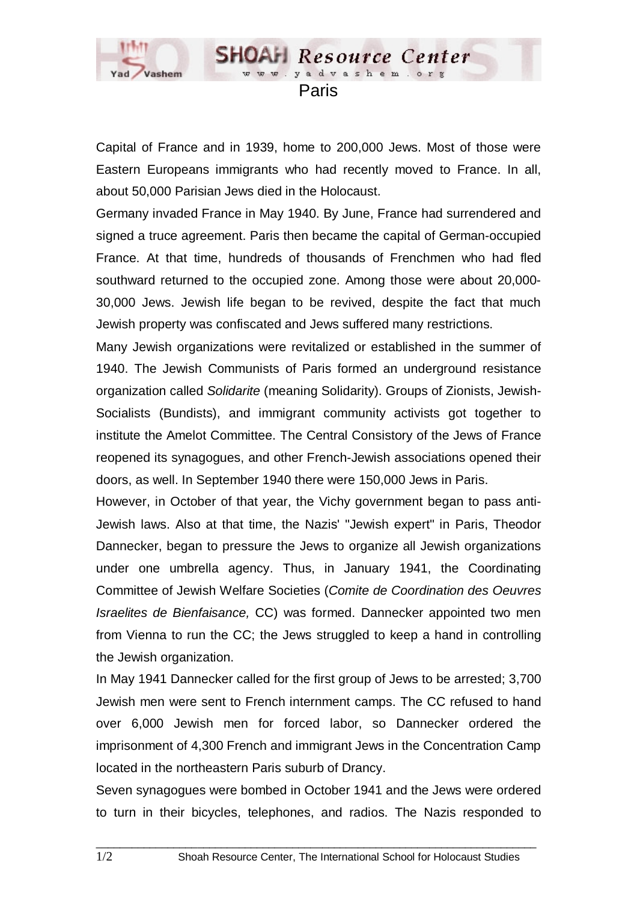

**SHOAH** Resource Center www.yadvashem.o

Capital of France and in 1939, home to 200,000 Jews. Most of those were Eastern Europeans immigrants who had recently moved to France. In all, about 50,000 Parisian Jews died in the Holocaust.

Germany invaded France in May 1940. By June, France had surrendered and signed a truce agreement. Paris then became the capital of German-occupied France. At that time, hundreds of thousands of Frenchmen who had fled southward returned to the occupied zone. Among those were about 20,000- 30,000 Jews. Jewish life began to be revived, despite the fact that much Jewish property was confiscated and Jews suffered many restrictions.

Many Jewish organizations were revitalized or established in the summer of 1940. The Jewish Communists of Paris formed an underground resistance organization called *Solidarite* (meaning Solidarity). Groups of Zionists, Jewish-Socialists (Bundists), and immigrant community activists got together to institute the Amelot Committee. The Central Consistory of the Jews of France reopened its synagogues, and other French-Jewish associations opened their doors, as well. In September 1940 there were 150,000 Jews in Paris.

However, in October of that year, the Vichy government began to pass anti-Jewish laws. Also at that time, the Nazis' "Jewish expert" in Paris, Theodor Dannecker, began to pressure the Jews to organize all Jewish organizations under one umbrella agency. Thus, in January 1941, the Coordinating Committee of Jewish Welfare Societies (*Comite de Coordination des Oeuvres Israelites de Bienfaisance,* CC) was formed. Dannecker appointed two men from Vienna to run the CC; the Jews struggled to keep a hand in controlling the Jewish organization.

In May 1941 Dannecker called for the first group of Jews to be arrested; 3,700 Jewish men were sent to French internment camps. The CC refused to hand over 6,000 Jewish men for forced labor, so Dannecker ordered the imprisonment of 4,300 French and immigrant Jews in the Concentration Camp located in the northeastern Paris suburb of Drancy.

Seven synagogues were bombed in October 1941 and the Jews were ordered to turn in their bicycles, telephones, and radios. The Nazis responded to

 $\_$  ,  $\_$  ,  $\_$  ,  $\_$  ,  $\_$  ,  $\_$  ,  $\_$  ,  $\_$  ,  $\_$  ,  $\_$  ,  $\_$  ,  $\_$  ,  $\_$  ,  $\_$  ,  $\_$  ,  $\_$  ,  $\_$  ,  $\_$  ,  $\_$